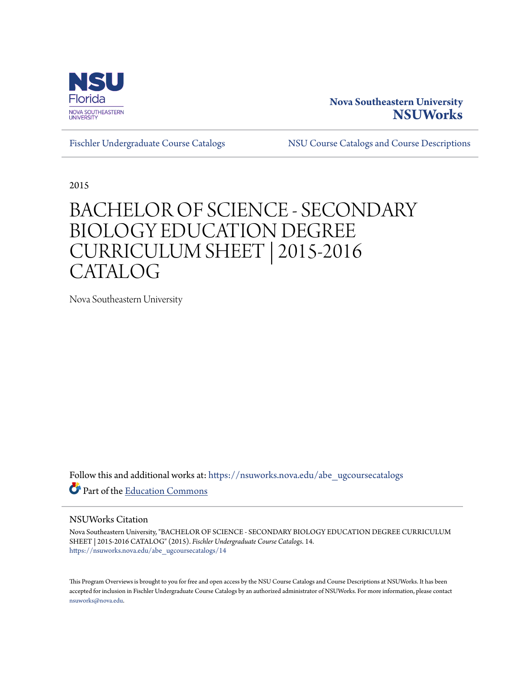

# **Nova Southeastern University [NSUWorks](https://nsuworks.nova.edu?utm_source=nsuworks.nova.edu%2Fabe_ugcoursecatalogs%2F14&utm_medium=PDF&utm_campaign=PDFCoverPages)**

[Fischler Undergraduate Course Catalogs](https://nsuworks.nova.edu/abe_ugcoursecatalogs?utm_source=nsuworks.nova.edu%2Fabe_ugcoursecatalogs%2F14&utm_medium=PDF&utm_campaign=PDFCoverPages) [NSU Course Catalogs and Course Descriptions](https://nsuworks.nova.edu/nsu_catalogs?utm_source=nsuworks.nova.edu%2Fabe_ugcoursecatalogs%2F14&utm_medium=PDF&utm_campaign=PDFCoverPages)

2015

# BACHELOR OF SCIENCE - SECONDARY BIOLOGY EDUCATION DEGREE CURRICULUM SHEET | 2015-2016 CATALOG

Nova Southeastern University

Follow this and additional works at: [https://nsuworks.nova.edu/abe\\_ugcoursecatalogs](https://nsuworks.nova.edu/abe_ugcoursecatalogs?utm_source=nsuworks.nova.edu%2Fabe_ugcoursecatalogs%2F14&utm_medium=PDF&utm_campaign=PDFCoverPages) Part of the [Education Commons](http://network.bepress.com/hgg/discipline/784?utm_source=nsuworks.nova.edu%2Fabe_ugcoursecatalogs%2F14&utm_medium=PDF&utm_campaign=PDFCoverPages)

### NSUWorks Citation

Nova Southeastern University, "BACHELOR OF SCIENCE - SECONDARY BIOLOGY EDUCATION DEGREE CURRICULUM SHEET | 2015-2016 CATALOG" (2015). *Fischler Undergraduate Course Catalogs*. 14. [https://nsuworks.nova.edu/abe\\_ugcoursecatalogs/14](https://nsuworks.nova.edu/abe_ugcoursecatalogs/14?utm_source=nsuworks.nova.edu%2Fabe_ugcoursecatalogs%2F14&utm_medium=PDF&utm_campaign=PDFCoverPages)

This Program Overviews is brought to you for free and open access by the NSU Course Catalogs and Course Descriptions at NSUWorks. It has been accepted for inclusion in Fischler Undergraduate Course Catalogs by an authorized administrator of NSUWorks. For more information, please contact [nsuworks@nova.edu.](mailto:nsuworks@nova.edu)